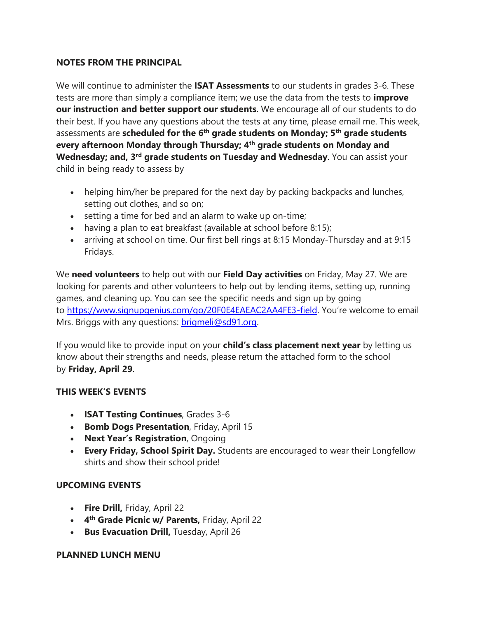## **NOTES FROM THE PRINCIPAL**

We will continue to administer the **ISAT Assessments** to our students in grades 3-6. These tests are more than simply a compliance item; we use the data from the tests to **improve our instruction and better support our students**. We encourage all of our students to do their best. If you have any questions about the tests at any time, please email me. This week, assessments are **scheduled for the 6th grade students on Monday; 5th grade students every afternoon Monday through Thursday; 4th grade students on Monday and Wednesday; and, 3rd grade students on Tuesday and Wednesday**. You can assist your child in being ready to assess by

- helping him/her be prepared for the next day by packing backpacks and lunches, setting out clothes, and so on;
- setting a time for bed and an alarm to wake up on-time;
- having a plan to eat breakfast (available at school before 8:15);
- arriving at school on time. Our first bell rings at 8:15 Monday-Thursday and at 9:15 Fridays.

We **need volunteers** to help out with our **Field Day activities** on Friday, May 27. We are looking for parents and other volunteers to help out by lending items, setting up, running games, and cleaning up. You can see the specific needs and sign up by going to <https://www.signupgenius.com/go/20F0E4EAEAC2AA4FE3-field>. You're welcome to email Mrs. Briggs with any questions: [brigmeli@sd91.org.](mailto:brigmeli@sd91.org)

If you would like to provide input on your **child's class placement next year** by letting us know about their strengths and needs, please return the attached form to the school by **Friday, April 29**.

## **THIS WEEK'S EVENTS**

- **ISAT Testing Continues**, Grades 3-6
- **Bomb Dogs Presentation**, Friday, April 15
- **Next Year's Registration**, Ongoing
- **Every Friday, School Spirit Day.** Students are encouraged to wear their Longfellow shirts and show their school pride!

## **UPCOMING EVENTS**

- **Fire Drill,** Friday, April 22
- **4 th Grade Picnic w/ Parents,** Friday, April 22
- **Bus Evacuation Drill, Tuesday, April 26**

## **PLANNED LUNCH MENU**